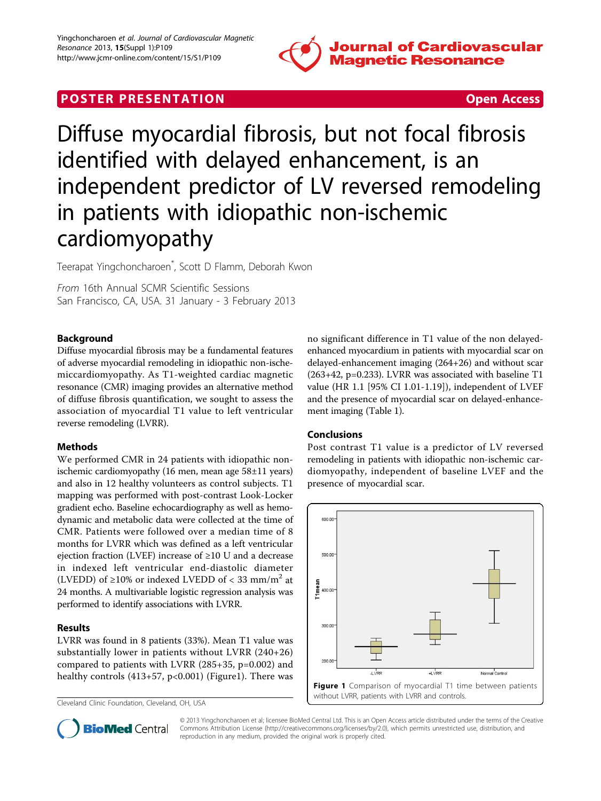

## **POSTER PRESENTATION CONSUMING ACCESS**

# Diffuse myocardial fibrosis, but not focal fibrosis identified with delayed enhancement, is an independent predictor of LV reversed remodeling in patients with idiopathic non-ischemic cardiomyopathy

Teerapat Yingchoncharoen\* , Scott D Flamm, Deborah Kwon

From 16th Annual SCMR Scientific Sessions San Francisco, CA, USA. 31 January - 3 February 2013

#### Background

Diffuse myocardial fibrosis may be a fundamental features of adverse myocardial remodeling in idiopathic non-ischemiccardiomyopathy. As T1-weighted cardiac magnetic resonance (CMR) imaging provides an alternative method of diffuse fibrosis quantification, we sought to assess the association of myocardial T1 value to left ventricular reverse remodeling (LVRR).

#### Methods

We performed CMR in 24 patients with idiopathic nonischemic cardiomyopathy (16 men, mean age 58±11 years) and also in 12 healthy volunteers as control subjects. T1 mapping was performed with post-contrast Look-Locker gradient echo. Baseline echocardiography as well as hemodynamic and metabolic data were collected at the time of CMR. Patients were followed over a median time of 8 months for LVRR which was defined as a left ventricular ejection fraction (LVEF) increase of ≥10 U and a decrease in indexed left ventricular end-diastolic diameter (LVEDD) of  $\geq 10\%$  or indexed LVEDD of < 33 mm/m<sup>2</sup> at 24 months. A multivariable logistic regression analysis was performed to identify associations with LVRR.

#### Results

LVRR was found in 8 patients (33%). Mean T1 value was substantially lower in patients without LVRR (240+26) compared to patients with LVRR (285+35, p=0.002) and healthy controls (413+57, p<0.001) (Figure1). There was

Cleveland Clinic Foundation, Cleveland, OH, USA

no significant difference in T1 value of the non delayedenhanced myocardium in patients with myocardial scar on delayed-enhancement imaging (264+26) and without scar (263+42, p=0.233). LVRR was associated with baseline T1 value (HR 1.1 [95% CI 1.01-1.19]), independent of LVEF and the presence of myocardial scar on delayed-enhancement imaging (Table [1](#page-1-0)).

#### Conclusions

Post contrast T1 value is a predictor of LV reversed remodeling in patients with idiopathic non-ischemic cardiomyopathy, independent of baseline LVEF and the presence of myocardial scar.





© 2013 Yingchoncharoen et al; licensee BioMed Central Ltd. This is an Open Access article distributed under the terms of the Creative Commons Attribution License [\(http://creativecommons.org/licenses/by/2.0](http://creativecommons.org/licenses/by/2.0)), which permits unrestricted use, distribution, and reproduction in any medium, provided the original work is properly cited.